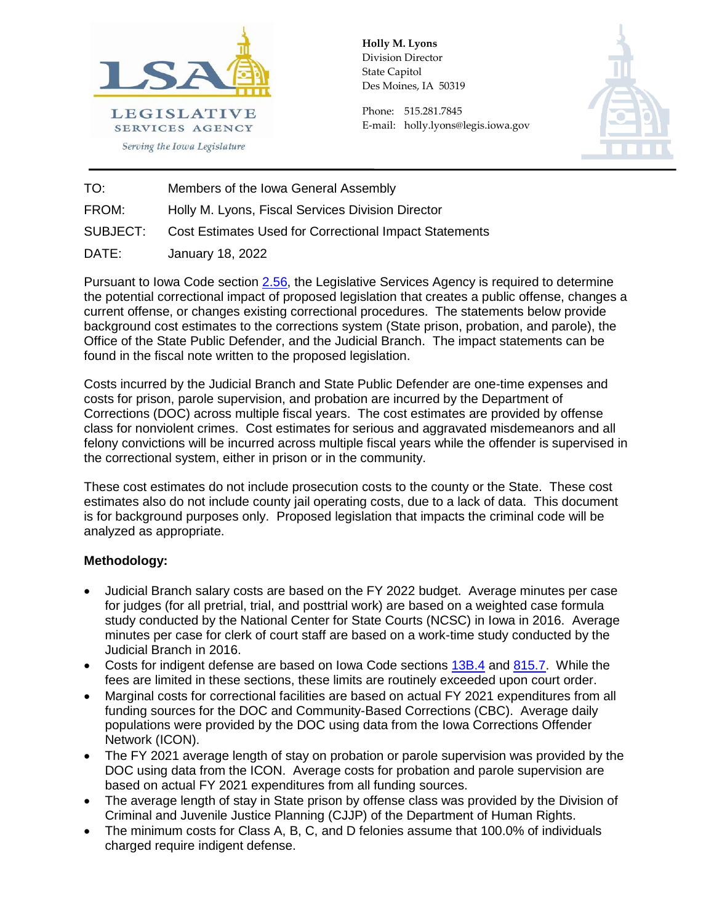

**Holly M. Lyons**  Division Director State Capitol Des Moines, IA 50319

Phone: 515.281.7845 E-mail: holly.lyons@legis.iowa.gov



TO: Members of the Iowa General Assembly

FROM: Holly M. Lyons, Fiscal Services Division Director

Cost Estimates Used for Correctional Impact Statements  $SUBJECT:$ 

DATE: January 18, 2022

Pursuant to Iowa Code section [2.56,](https://www.legis.iowa.gov/docs/code/2.56.pdf) the Legislative Services Agency is required to determine the potential correctional impact of proposed legislation that creates a public offense, changes a current offense, or changes existing correctional procedures. The statements below provide background cost estimates to the corrections system (State prison, probation, and parole), the Office of the State Public Defender, and the Judicial Branch. The impact statements can be found in the fiscal note written to the proposed legislation.

Costs incurred by the Judicial Branch and State Public Defender are one-time expenses and costs for prison, parole supervision, and probation are incurred by the Department of Corrections (DOC) across multiple fiscal years. The cost estimates are provided by offense class for nonviolent crimes. Cost estimates for serious and aggravated misdemeanors and all felony convictions will be incurred across multiple fiscal years while the offender is supervised in the correctional system, either in prison or in the community.

These cost estimates do not include prosecution costs to the county or the State. These cost estimates also do not include county jail operating costs, due to a lack of data. This document is for background purposes only. Proposed legislation that impacts the criminal code will be analyzed as appropriate.

# **Methodology:**

- Judicial Branch salary costs are based on the FY 2022 budget. Average minutes per case for judges (for all pretrial, trial, and posttrial work) are based on a weighted case formula study conducted by the National Center for State Courts (NCSC) in Iowa in 2016. Average minutes per case for clerk of court staff are based on a work-time study conducted by the Judicial Branch in 2016.
- Costs for indigent defense are based on Iowa Code sections [13B.4](https://www.legis.iowa.gov/docs/code/13B.4.pdf) and [815.7.](https://www.legis.iowa.gov/docs/code/815.7.pdf) While the fees are limited in these sections, these limits are routinely exceeded upon court order.
- Marginal costs for correctional facilities are based on actual FY 2021 expenditures from all funding sources for the DOC and Community-Based Corrections (CBC). Average daily populations were provided by the DOC using data from the Iowa Corrections Offender Network (ICON).
- The FY 2021 average length of stay on probation or parole supervision was provided by the DOC using data from the ICON. Average costs for probation and parole supervision are based on actual FY 2021 expenditures from all funding sources.
- The average length of stay in State prison by offense class was provided by the Division of Criminal and Juvenile Justice Planning (CJJP) of the Department of Human Rights.
- The minimum costs for Class A, B, C, and D felonies assume that 100.0% of individuals charged require indigent defense.